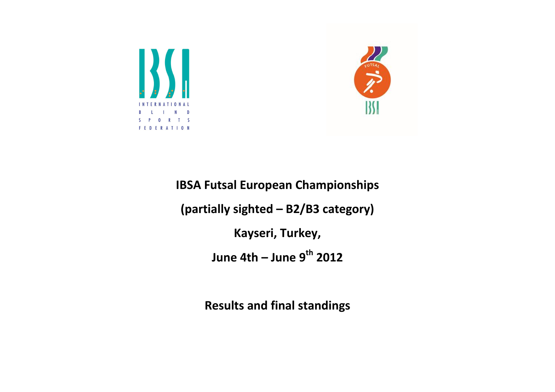



IBSA Futsal European Championships (partially sighted – B2/B3 category) Kayseri, Turkey, June 4th – June  $9<sup>th</sup>$  2012

Results and final standings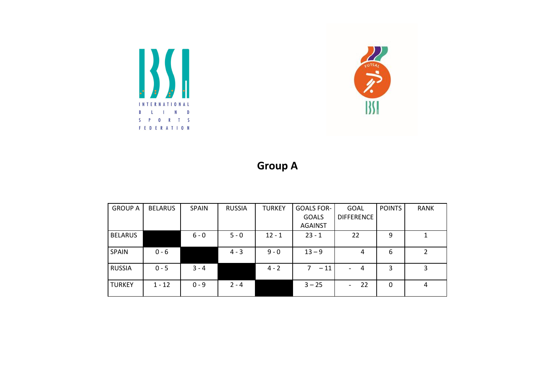



## Group A

| <b>GROUP A</b> | <b>BELARUS</b> | <b>SPAIN</b> | <b>RUSSIA</b> | <b>TURKEY</b> | <b>GOALS FOR-</b> | <b>GOAL</b>                      | <b>POINTS</b> | <b>RANK</b> |
|----------------|----------------|--------------|---------------|---------------|-------------------|----------------------------------|---------------|-------------|
|                |                |              |               |               | <b>GOALS</b>      | <b>DIFFERENCE</b>                |               |             |
|                |                |              |               |               | <b>AGAINST</b>    |                                  |               |             |
| <b>BELARUS</b> |                | $6 - 0$      | $5 - 0$       | $12 - 1$      | $23 - 1$          | 22                               | 9             | 1           |
| <b>SPAIN</b>   | $0 - 6$        |              | $4 - 3$       | $9 - 0$       | $13 - 9$          | 4                                | 6             | 2           |
| <b>RUSSIA</b>  | $0 - 5$        | $3 - 4$      |               | $4 - 2$       | $-11$             | $\overline{4}$<br>$\blacksquare$ | 3             | 3           |
| <b>TURKEY</b>  | $1 - 12$       | $0 - 9$      | $2 - 4$       |               | $3 - 25$          | 22<br>$\blacksquare$             | 0             | 4           |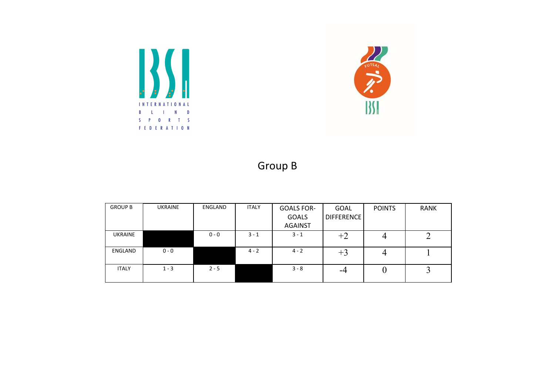



## Group B

| <b>GROUP B</b> | <b>UKRAINE</b> | ENGLAND | <b>ITALY</b> | <b>GOALS FOR-</b> | <b>GOAL</b> | <b>POINTS</b> | <b>RANK</b> |
|----------------|----------------|---------|--------------|-------------------|-------------|---------------|-------------|
|                |                |         |              | <b>GOALS</b>      | DIFFERENCE  |               |             |
|                |                |         |              | <b>AGAINST</b>    |             |               |             |
| <b>UKRAINE</b> |                | $0 - 0$ | $3 - 1$      | $3 - 1$           | $+2$        |               |             |
|                |                |         |              |                   |             |               |             |
| ENGLAND        | $0 - 0$        |         | $4 - 2$      | $4 - 2$           | t۶          |               |             |
|                |                |         |              |                   |             |               |             |
| <b>ITALY</b>   | $1 - 3$        | $2 - 5$ |              | $3 - 8$           | -4          |               |             |
|                |                |         |              |                   |             |               |             |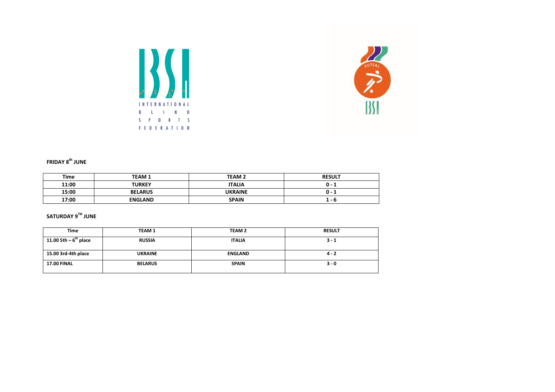



## FRIDAY  $8^{th}$  JUNE

| Time  | <b>TEAM 1</b>  | <b>TEAM 2</b>  | <b>RESULT</b> |
|-------|----------------|----------------|---------------|
| 11:00 | <b>TURKEY</b>  | <b>ITALIA</b>  | 0 - 1         |
| 15:00 | <b>BELARUS</b> | <b>UKRAINE</b> | 0 - 1         |
| 17:00 | <b>ENGLAND</b> | <b>SPAIN</b>   | 1 - b         |

## SATURDAY  $9^{TH}$  JUNE

| <b>Time</b>            | <b>TEAM1</b>   | <b>TEAM 2</b>  | <b>RESULT</b> |
|------------------------|----------------|----------------|---------------|
| $11.00$ 5th – 6" place | <b>RUSSIA</b>  | <b>ITALIA</b>  | $3 - 1$       |
| 15.00 3rd-4th place    | <b>UKRAINE</b> | <b>ENGLAND</b> | $4 - 2$       |
| <b>17.00 FINAL</b>     | <b>BELARUS</b> | <b>SPAIN</b>   | $3 - 0$       |